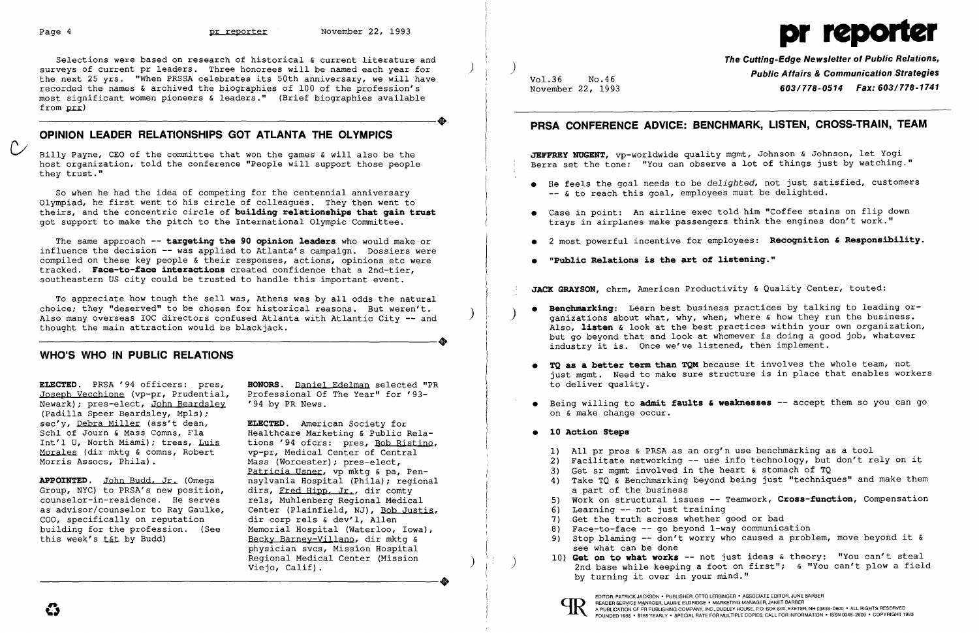Selections were based on research of historical & current literature and surveys of current pr leaders. Three honorees will be named each year for the next 25 yrs. "When PRSSA celebrates its 50th anniversary, we will have recorded the names & archived the biographies of 100 of the profession's most significant women pioneers & leaders." (Brief biographies available ----------------------+  $from  $prr$ )$ 

Billy Payne, CEO of the committee that won the games & will also be the host organization, told the conference "People will support those people they trust."

# **OPINION LEADER RELATIONSHIPS GOT ATLANTA THE OLYMPICS**

The same approach -- **targeting the 90 opinion leaders** who would make or influence the decision -- was applied to Atlanta's campaign. Dossiers were compiled on these key people & their responses, actions, opinions etc were tracked. **Face-to-face interactions** created confidence that a 2nd-tier, southeastern US city could be trusted to handle this important event.

So when he had the idea of competing for the centennial anniversary Olympiad, he first went to his circle of colleagues. They then went to theirs, and the concentric circle of **building relationships that gain trust**  got support to make the pitch to the International Olympic Committee.

To appreciate how tough the sell was, Athens was by all odds the natural choice; they "deserved" to be chosen for historical reasons. But weren't. choice; they "deserved" to be chosen for historical reasons. But weren't.<br>Also many overseas IOC directors confused Atlanta with Atlantic City -- and<br>thought the main attraction would be blackjack.<br>WHO'S WHO IN DIIRIC RELA thought the main attraction would be blackjack.

## **WHO'S WHO IN PUBLIC RELATIONS**

Joseph Vecchione (vp-pr, Prudential, Professional Of<br>Newark); pres-elect, John Beardslev '94 by PR News. Newark); pres-elect, John Beardsley (Padilla Speer Beardsley, Mpls); sec'y, <u>Debra Miller</u> (ass't dean, **ELECTED**. American Society for<br>Schl of Journ & Mass Comns, Fla and Healthcare Marketing & Public F Schl of Journ & Mass Comns, Fla and Healthcare Marketing & Public Rela-<br>Int'l U, North Miami); treas, Luis tions '94 ofcrs: pres, Bob Ristino Morales (dir mktg & comns, Robert<br>Morris Assocs, Phila).

APPOINTED. John Budd. Jr. (Omega nsylvania Hospital (Phila); regional Group, NYC) to PRSA's new position, dirs, Fred Hipp. Jr., dir comty Group, NYC) to PRSA's new position, dirs, Fred Hipp, Jr., dir comty counselor-in-residence. He serves rels, Muhlenberg Regional Medical counselor-in-residence. He serves<br>as advisor/counselor to Ray Gaulke, COO, specifically on reputation<br>building for the profession. (See building for the profession. (See Memorial Hospital (Waterloo, Iowa),<br>this week's t&t by Budd) Becky Barnev-Villano, dir mkta &

**ELECTED.** PRSA '94 officers: pres, **BONORS.** Daniel Edelman selected "PR

tions '94 ofcrs: pres, <u>Bob Ristino</u>,<br>vp-pr, Medical Center of Central Mass (Worcester); pres-elect, Patricia Usner, vp mktg & pa, Pen-<br>nsylvania Hospital (Phila); regional Center (Plainfield, NJ), Bob Justis,<br>dir corp rels & dev'l, Allen Becky Barney-Villano, dir mktg & physician svcs, Mission Hospital .<br>Regional Medical Center (Mission )<br>Viejo, Calif). Prighted and the context of the second Medical Center (Mission Viejo, Calif).

- -- & to reach this goal, employees must be delighted.
- trays in airplanes make passengers think the engines don't work."
- 
- **• "Public Relations is the art of listening."**

**• Benchmarking:** Learn best business practices by talking to leading or-<br>ganizations about what, why, when, where & how they run the business. Also, **listen** & look at the best practices within your own organization, but go beyond that and look at whomever is doing a good job, whatever

**TQ as a better term than TQM** because it involves the whole team, not just mgmt. Need to make sure structure is in place that enables workers

**•** Being willing to admit faults & weaknesses -- accept them so you can go

2) Facilitate networking -- use info technology, but don't rely on it 4} Take TQ & Benchmarking beyond being just "techniques" and make them

see what can be done<br>Get on to what works -- not just ideas & theory: "You can't steal 10} **Get on to what works** -- not just ideas & theory: "You can't steal ) 2nd base while keeping a foot on first"; & "You can't plow a field

**The** Cutting~Edge **Newsletter of Public Relations,** ) **Public Affairs & Communication Strategies** Vol.36 No.46 November 22, 1993 **603/778-0514 Fax: 603/778-1741** 

# **PRSA CONFERENCE ADVICE: BENCHMARK, LISTEN, CROSS-TRAIN, TEAM**

**JEFFREY NUGENT,** vp-worldwide quality mgmt, Johnson & Johnson, let Yogi Berra set the tone: "You can observe a lot of things just by watching."

• He feels the goal needs to be *delighted,* not just satisfied, customers

• Case in point: An airline exec told him "Coffee stains on flip down

• 2 most powerful incentive for employees: **Recognition' Responsibility.** 

**JACK GRAYSON,** chrm, American Productivity & Quality Center, touted:

- industry it is. Once we've listened, then implement.
	- to deliver quality.
	- on & make change occur.

### **• 10 Action Steps**

5} Work on structural issues -- Teamwork, **Cross-function,** Compensation

9) Stop blaming -- don't worry who caused a problem, move beyond it &

- I} All pr pros & PRSA as an org'n use benchmarking as a tool
- 
- 3} Get sr mgmt involved in the heart & stomach of TQ
	- a part of the business
	-
- 6} Learning -- not just training
- 7} Get the truth across whether good or bad
- 8) Face-to-face -- go beyond 1-way communication
- 
- by turning it over in your mind."



EDITOR, PATRICK JACKSON' PUBLISHER, OTTO LERBINGER • ASSOCIATE EDITOR, JUNE BARBER

# Page 4 **pr reporter** November 22, 1993 **pr reporter** November 22, 1993